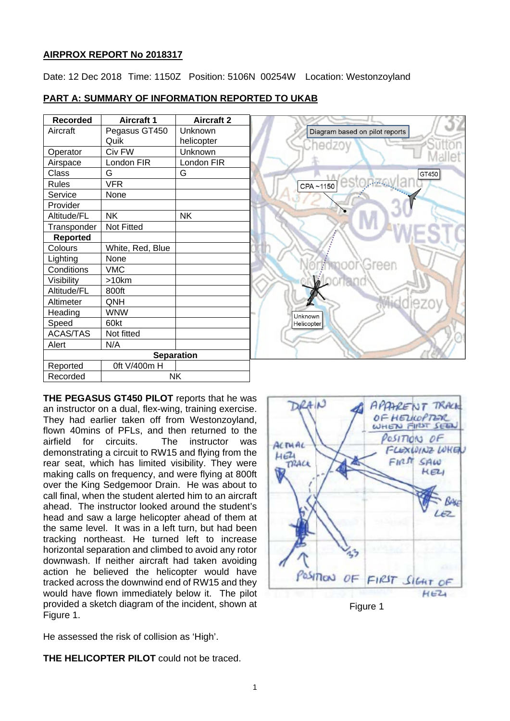## **AIRPROX REPORT No 2018317**

Date: 12 Dec 2018 Time: 1150Z Position: 5106N 00254W Location: Westonzoyland

# **PART A: SUMMARY OF INFORMATION REPORTED TO UKAB**

| <b>Recorded</b>   | <b>Aircraft 1</b> | <b>Aircraft 2</b> |
|-------------------|-------------------|-------------------|
| Aircraft          | Pegasus GT450     | Unknown           |
|                   | Quik              | helicopter        |
| Operator          | Civ FW            | Unknown           |
| Airspace          | London FIR        | London FIR        |
| Class             | G                 | G                 |
| <b>Rules</b>      | <b>VFR</b>        |                   |
| Service           | None              |                   |
| Provider          |                   |                   |
| Altitude/FL       | <b>NK</b>         | NΚ                |
| Transponder       | <b>Not Fitted</b> |                   |
| <b>Reported</b>   |                   |                   |
| Colours           | White, Red, Blue  |                   |
| Lighting          | None              |                   |
| Conditions        | <b>VMC</b>        |                   |
| Visibility        | >10km             |                   |
| Altitude/FL       | 800ft             |                   |
| Altimeter         | QNH               |                   |
| Heading           | <b>WNW</b>        |                   |
| Speed             | 60kt              |                   |
| <b>ACAS/TAS</b>   | Not fitted        |                   |
| Alert             | N/A               |                   |
| <b>Separation</b> |                   |                   |
| Reported          | 0ft V/400m H      |                   |
| Recorded          | NK                |                   |

**THE PEGASUS GT450 PILOT** reports that he was an instructor on a dual, flex-wing, training exercise. They had earlier taken off from Westonzoyland, flown 40mins of PFLs, and then returned to the airfield for circuits. The instructor was demonstrating a circuit to RW15 and flying from the rear seat, which has limited visibility. They were making calls on frequency, and were flying at 800ft over the King Sedgemoor Drain. He was about to call final, when the student alerted him to an aircraft ahead. The instructor looked around the student's head and saw a large helicopter ahead of them at the same level. It was in a left turn, but had been tracking northeast. He turned left to increase horizontal separation and climbed to avoid any rotor downwash. If neither aircraft had taken avoiding action he believed the helicopter would have tracked across the downwind end of RW15 and they would have flown immediately below it. The pilot provided a sketch diagram of the incident, shown at Figure 1.

He assessed the risk of collision as 'High'.

**THE HELICOPTER PILOT** could not be traced.





Figure 1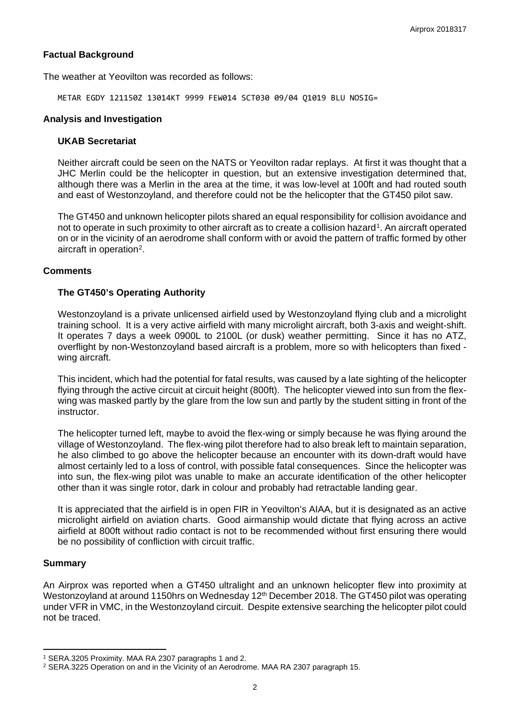## **Factual Background**

The weather at Yeovilton was recorded as follows:

METAR EGDY 121150Z 13014KT 9999 FEW014 SCT030 09/04 Q1019 BLU NOSIG=

#### **Analysis and Investigation**

#### **UKAB Secretariat**

Neither aircraft could be seen on the NATS or Yeovilton radar replays. At first it was thought that a JHC Merlin could be the helicopter in question, but an extensive investigation determined that, although there was a Merlin in the area at the time, it was low-level at 100ft and had routed south and east of Westonzoyland, and therefore could not be the helicopter that the GT450 pilot saw.

The GT450 and unknown helicopter pilots shared an equal responsibility for collision avoidance and not to operate in such proximity to other aircraft as to create a collision hazard<sup>1</sup>. An aircraft operated on or in the vicinity of an aerodrome shall conform with or avoid the pattern of traffic formed by other aircraft in operation<sup>[2](#page-1-1)</sup>.

## **Comments**

## **The GT450's Operating Authority**

Westonzoyland is a private unlicensed airfield used by Westonzoyland flying club and a microlight training school. It is a very active airfield with many microlight aircraft, both 3-axis and weight-shift. It operates 7 days a week 0900L to 2100L (or dusk) weather permitting. Since it has no ATZ, overflight by non-Westonzoyland based aircraft is a problem, more so with helicopters than fixed wing aircraft.

This incident, which had the potential for fatal results, was caused by a late sighting of the helicopter flying through the active circuit at circuit height (800ft). The helicopter viewed into sun from the flexwing was masked partly by the glare from the low sun and partly by the student sitting in front of the instructor.

The helicopter turned left, maybe to avoid the flex-wing or simply because he was flying around the village of Westonzoyland. The flex-wing pilot therefore had to also break left to maintain separation, he also climbed to go above the helicopter because an encounter with its down-draft would have almost certainly led to a loss of control, with possible fatal consequences. Since the helicopter was into sun, the flex-wing pilot was unable to make an accurate identification of the other helicopter other than it was single rotor, dark in colour and probably had retractable landing gear.

It is appreciated that the airfield is in open FIR in Yeovilton's AIAA, but it is designated as an active microlight airfield on aviation charts. Good airmanship would dictate that flying across an active airfield at 800ft without radio contact is not to be recommended without first ensuring there would be no possibility of confliction with circuit traffic.

#### **Summary**

 $\overline{a}$ 

An Airprox was reported when a GT450 ultralight and an unknown helicopter flew into proximity at Westonzoyland at around 1150hrs on Wednesday 12<sup>th</sup> December 2018. The GT450 pilot was operating under VFR in VMC, in the Westonzoyland circuit. Despite extensive searching the helicopter pilot could not be traced.

<span id="page-1-0"></span><sup>1</sup> SERA.3205 Proximity. MAA RA 2307 paragraphs 1 and 2.

<span id="page-1-1"></span><sup>2</sup> SERA.3225 Operation on and in the Vicinity of an Aerodrome. MAA RA 2307 paragraph 15.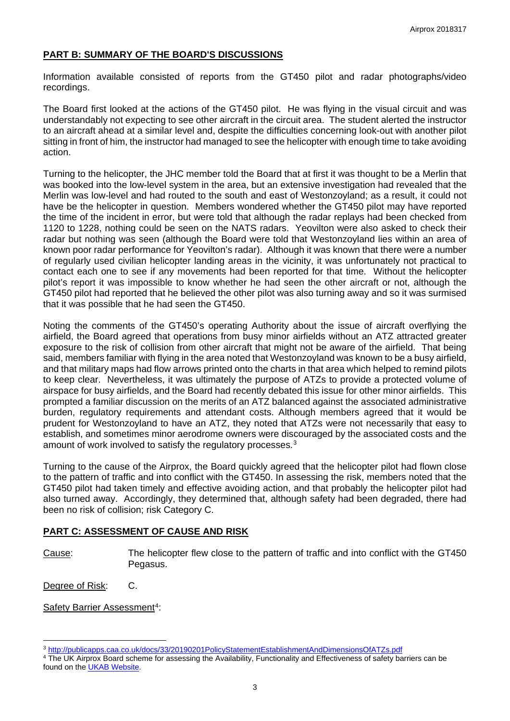# **PART B: SUMMARY OF THE BOARD'S DISCUSSIONS**

Information available consisted of reports from the GT450 pilot and radar photographs/video recordings.

The Board first looked at the actions of the GT450 pilot. He was flying in the visual circuit and was understandably not expecting to see other aircraft in the circuit area. The student alerted the instructor to an aircraft ahead at a similar level and, despite the difficulties concerning look-out with another pilot sitting in front of him, the instructor had managed to see the helicopter with enough time to take avoiding action.

Turning to the helicopter, the JHC member told the Board that at first it was thought to be a Merlin that was booked into the low-level system in the area, but an extensive investigation had revealed that the Merlin was low-level and had routed to the south and east of Westonzoyland; as a result, it could not have be the helicopter in question. Members wondered whether the GT450 pilot may have reported the time of the incident in error, but were told that although the radar replays had been checked from 1120 to 1228, nothing could be seen on the NATS radars. Yeovilton were also asked to check their radar but nothing was seen (although the Board were told that Westonzoyland lies within an area of known poor radar performance for Yeovilton's radar). Although it was known that there were a number of regularly used civilian helicopter landing areas in the vicinity, it was unfortunately not practical to contact each one to see if any movements had been reported for that time. Without the helicopter pilot's report it was impossible to know whether he had seen the other aircraft or not, although the GT450 pilot had reported that he believed the other pilot was also turning away and so it was surmised that it was possible that he had seen the GT450.

Noting the comments of the GT450's operating Authority about the issue of aircraft overflying the airfield, the Board agreed that operations from busy minor airfields without an ATZ attracted greater exposure to the risk of collision from other aircraft that might not be aware of the airfield. That being said, members familiar with flying in the area noted that Westonzoyland was known to be a busy airfield, and that military maps had flow arrows printed onto the charts in that area which helped to remind pilots to keep clear. Nevertheless, it was ultimately the purpose of ATZs to provide a protected volume of airspace for busy airfields, and the Board had recently debated this issue for other minor airfields. This prompted a familiar discussion on the merits of an ATZ balanced against the associated administrative burden, regulatory requirements and attendant costs. Although members agreed that it would be prudent for Westonzoyland to have an ATZ, they noted that ATZs were not necessarily that easy to establish, and sometimes minor aerodrome owners were discouraged by the associated costs and the amount of work involved to satisfy the regulatory processes.<sup>3</sup>

Turning to the cause of the Airprox, the Board quickly agreed that the helicopter pilot had flown close to the pattern of traffic and into conflict with the GT450. In assessing the risk, members noted that the GT450 pilot had taken timely and effective avoiding action, and that probably the helicopter pilot had also turned away. Accordingly, they determined that, although safety had been degraded, there had been no risk of collision; risk Category C.

#### **PART C: ASSESSMENT OF CAUSE AND RISK**

Cause: The helicopter flew close to the pattern of traffic and into conflict with the GT450 Pegasus.

Degree of Risk: C.

 $\overline{a}$ 

Safety Barrier Assessment<sup>[4](#page-2-1)</sup>:

<span id="page-2-0"></span><sup>3</sup> <http://publicapps.caa.co.uk/docs/33/20190201PolicyStatementEstablishmentAndDimensionsOfATZs.pdf>

<span id="page-2-1"></span><sup>4</sup> The UK Airprox Board scheme for assessing the Availability, Functionality and Effectiveness of safety barriers can be found on the **UKAB Website**.